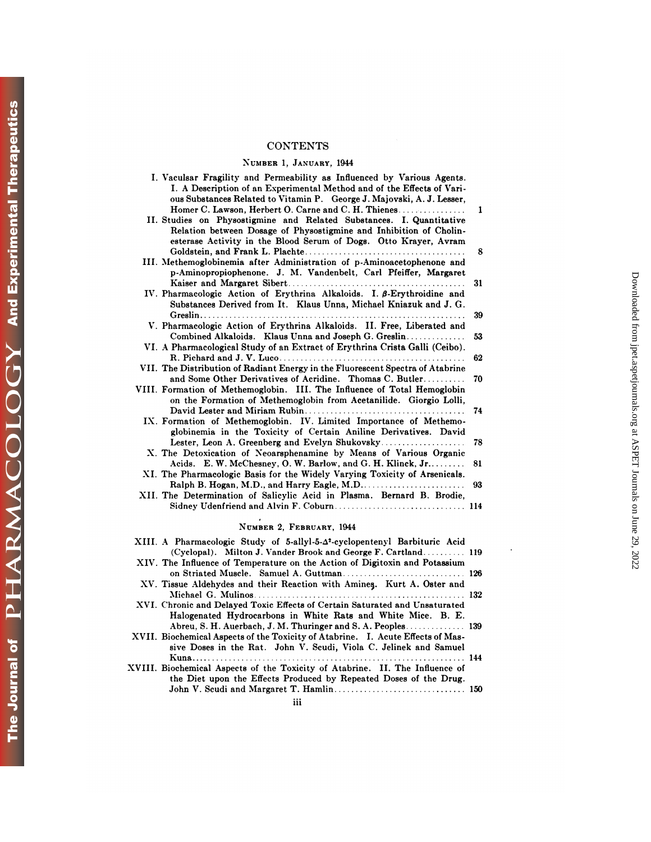# **CONTENTS**

## NUMBER 1, **JANUARY,** <sup>1944</sup>

| <b>CONTENTS</b>                                                                                                                                                                                                                                                                                                                                            |          |
|------------------------------------------------------------------------------------------------------------------------------------------------------------------------------------------------------------------------------------------------------------------------------------------------------------------------------------------------------------|----------|
| NUMBER 1, JANUARY, 1944                                                                                                                                                                                                                                                                                                                                    |          |
| I. Vaculsar Fragility and Permeability as Influenced by Various Agents.<br>I. A Description of an Experimental Method and of the Effects of Vari-<br>ous Substances Related to Vitamin P. George J. Majovski, A. J. Lesser,<br>Homer C. Lawson, Herbert O. Carne and C. H. Thienes<br>II. Studies on Physostigmine and Related Substances. I. Quantitative | 1        |
| Relation between Dosage of Physostigmine and Inhibition of Cholin-<br>esterase Activity in the Blood Serum of Dogs. Otto Krayer, Avram<br>III. Methemoglobinemia after Administration of p-Aminoacetophenone and                                                                                                                                           | 8        |
| p-Aminopropiophenone. J. M. Vandenbelt, Carl Pfeiffer, Margaret<br>IV. Pharmacologic Action of Erythrina Alkaloids. I. $\beta$ -Erythroidine and                                                                                                                                                                                                           | 31       |
| Substances Derived from It. Klaus Unna, Michael Kniazuk and J. G.<br>V. Pharmacologic Action of Erythrina Alkaloids. II. Free, Liberated and                                                                                                                                                                                                               | 39       |
| Combined Alkaloids. Klaus Unna and Joseph G. Greslin<br>VI. A Pharmacological Study of an Extract of Erythrina Crista Galli (Ceibo).                                                                                                                                                                                                                       | 53<br>62 |
| VII. The Distribution of Radiant Energy in the Fluorescent Spectra of Atabrine<br>and Some Other Derivatives of Acridine. Thomas C. Butler                                                                                                                                                                                                                 | 70       |
| VIII. Formation of Methemoglobin. III. The Influence of Total Hemoglobin<br>on the Formation of Methemoglobin from Acetanilide. Giorgio Lolli,                                                                                                                                                                                                             | 74       |
| IX. Formation of Methemoglobin. IV. Limited Importance of Methemo-<br>globinemia in the Toxicity of Certain Aniline Derivatives. David                                                                                                                                                                                                                     |          |
| Lester, Leon A. Greenberg and Evelyn Shukovsky<br>X. The Detoxication of Neoarsphenamine by Means of Various Organic<br>Acids. E. W. McChesney, O. W. Barlow, and G. H. Klinck, Jr                                                                                                                                                                         | 78<br>81 |
| XI. The Pharmacologic Basis for the Widely Varying Toxicity of Arsenicals.                                                                                                                                                                                                                                                                                 | 93       |
| XII. The Determination of Salicylic Acid in Plasma. Bernard B. Brodie,                                                                                                                                                                                                                                                                                     |          |
| NUMBER 2, FEBRUARY, 1944                                                                                                                                                                                                                                                                                                                                   |          |
| XIII. A Pharmacologic Study of 5-allyl-5-4 <sup>2</sup> -cyclopentenyl Barbituric Acid<br>(Cyclopal). Milton J. Vander Brook and George F. Cartland 119                                                                                                                                                                                                    |          |

| NUMBER 2. FEBRUARY, 1944                                                                                                                                                                                             |  |
|----------------------------------------------------------------------------------------------------------------------------------------------------------------------------------------------------------------------|--|
| XIII. A Pharmacologic Study of 5-allyl-5- $\Delta^2$ -cyclopentenyl Barbituric Acid                                                                                                                                  |  |
| (Cyclopal). Milton J. Vander Brook and George F. Cartland 119<br>XIV. The Influence of Temperature on the Action of Digitoxin and Potassium                                                                          |  |
| XV. Tissue Aldehydes and their Reaction with Amines. Kurt A. Oster and                                                                                                                                               |  |
| XVI. Chronic and Delayed Toxic Effects of Certain Saturated and Unsaturated                                                                                                                                          |  |
| Halogenated Hydrocarbons in White Rats and White Mice. B. E.<br>XVII. Biochemical Aspects of the Toxicity of Atabrine. I. Acute Effects of Mas-<br>sive Doses in the Rat. John V. Scudi, Viola C. Jelinek and Samuel |  |
| XVIII. Biochemical Aspects of the Toxicity of Atabrine. II. The Influence of                                                                                                                                         |  |
| the Diet upon the Effects Produced by Repeated Doses of the Drug.                                                                                                                                                    |  |
| iii                                                                                                                                                                                                                  |  |

 $\ddot{\phantom{a}}$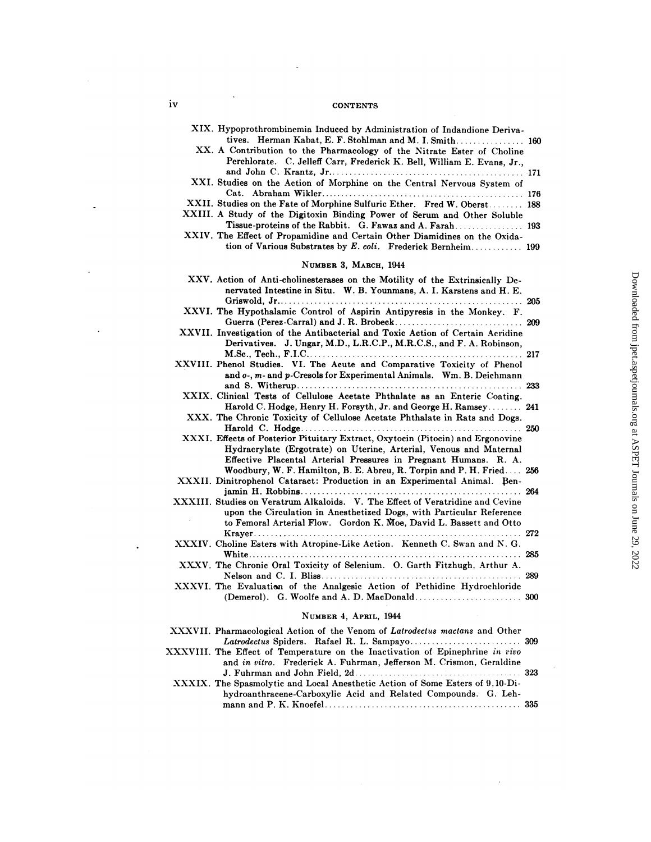| iv<br><b>CONTENTS</b>                                                                                                                                                                                                                                                                    |     |
|------------------------------------------------------------------------------------------------------------------------------------------------------------------------------------------------------------------------------------------------------------------------------------------|-----|
| XIX. Hypoprothrombinemia Induced by Administration of Indandione Deriva-<br>tives. Herman Kabat, E. F. Stohlman and M. I. Smith 160<br>XX. A Contribution to the Pharmacology of the Nitrate Ester of Choline<br>Perchlorate. C. Jelleff Carr, Frederick K. Bell, William E. Evans, Jr., |     |
| XXI. Studies on the Action of Morphine on the Central Nervous System of                                                                                                                                                                                                                  |     |
| XXII. Studies on the Fate of Morphine Sulfuric Ether. Fred W. Oberst 188<br>XXIII. A Study of the Digitoxin Binding Power of Serum and Other Soluble<br>Tissue-proteins of the Rabbit. G. Fawaz and A. Farah 193                                                                         |     |
| XXIV. The Effect of Propamidine and Certain Other Diamidines on the Oxida-<br>tion of Various Substrates by E. coli. Frederick Bernheim 199                                                                                                                                              |     |
| NUMBER 3, MARCH, 1944                                                                                                                                                                                                                                                                    |     |
| XXV. Action of Anti-cholinesterases on the Motility of the Extrinsically De-<br>nervated Intestine in Situ. W. B. Younmans, A. I. Karstens and H. E.                                                                                                                                     |     |
| XXVI. The Hypothalamic Control of Aspirin Antipyresis in the Monkey. F.                                                                                                                                                                                                                  | 209 |
| XXVII. Investigation of the Antibacterial and Toxic Action of Certain Acridine<br>Derivatives. J. Ungar, M.D., L.R.C.P., M.R.C.S., and F. A. Robinson,                                                                                                                                   |     |
| XXVIII. Phenol Studies. VI. The Acute and Comparative Toxicity of Phenol<br>and o-, m- and p-Cresols for Experimental Animals. Wm. B. Deichmann                                                                                                                                          |     |
| XXIX. Clinical Tests of Cellulose Acetate Phthalate as an Enteric Coating.                                                                                                                                                                                                               |     |
| Harold C. Hodge, Henry H. Forsyth, Jr. and George H. Ramsey 241<br>XXX. The Chronic Toxicity of Cellulose Acetate Phthalate in Rats and Dogs.                                                                                                                                            |     |
| XXXI. Effects of Posterior Pituitary Extract, Oxytocin (Pitocin) and Ergonovine<br>Hydracrylate (Ergotrate) on Uterine, Arterial, Venous and Maternal<br>Effective Placental Arterial Pressures in Pregnant Humans. R. A.                                                                |     |
| Woodbury, W. F. Hamilton, B. E. Abreu, R. Torpin and P. H. Fried 256<br>XXXII. Dinitrophenol Cataract: Production in an Experimental Animal. Ben-                                                                                                                                        |     |
| XXXIII. Studies on Veratrum Alkaloids. V. The Effect of Veratridine and Cevine<br>upon the Circulation in Anesthetized Dogs, with Particular Reference<br>to Femoral Arterial Flow. Gordon K. Moe, David L. Bassett and Otto                                                             |     |
| XXXIV. Choline Esters with Atropine-Like Action. Kenneth C. Swan and N. G.                                                                                                                                                                                                               |     |
| XXXV. The Chronic Oral Toxicity of Selenium. O. Garth Fitzhugh, Arthur A.                                                                                                                                                                                                                | 289 |
| XXXVI. The Evaluation of the Analgesic Action of Pethidine Hydrochloride                                                                                                                                                                                                                 |     |
| NUMBER 4, APRIL, 1944                                                                                                                                                                                                                                                                    |     |
| XXXVII. Pharmacological Action of the Venom of Latrodectus mactans and Other                                                                                                                                                                                                             |     |
| XXXVIII. The Effect of Temperature on the Inactivation of Epinephrine in vivo<br>and in vitro. Frederick A. Fuhrman, Jefferson M. Crismon, Geraldine                                                                                                                                     |     |
| XXXIX. The Spasmolytic and Local Anesthetic Action of Some Esters of 9,10-Di-<br>hydroanthracene-Carboxylic Acid and Related Compounds. G. Leh-                                                                                                                                          |     |
|                                                                                                                                                                                                                                                                                          |     |

 $\bar{\bar{z}}$ 

Downloaded from [jpet.aspetjournals.org](http://jpet.aspetjournals.org/) at ASPET Journals on June 29, 2022

Downloaded from jpet.aspetjournals.org at ASPET Journals on June 29, 2022

 $\ddot{\phantom{a}}$ 

 $\cdot$ 

 $\ddot{\phantom{a}}$